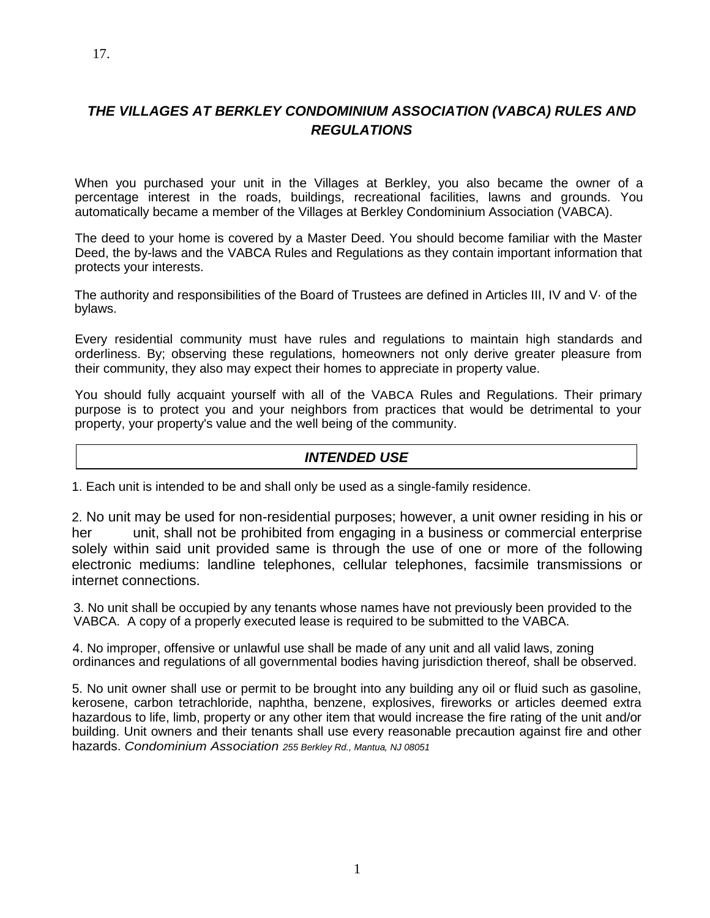# *THE VILLAGES AT BERKLEY CONDOMINIUM ASSOCIATION (VABCA) RULES AND REGULATIONS*

When you purchased your unit in the Villages at Berkley, you also became the owner of a percentage interest in the roads, buildings, recreational facilities, lawns and grounds. You automatically became a member of the Villages at Berkley Condominium Association (VABCA).

The deed to your home is covered by a Master Deed. You should become familiar with the Master Deed, the by-laws and the VABCA Rules and Regulations as they contain important information that protects your interests.

The authority and responsibilities of the Board of Trustees are defined in Articles III, IV and V· of the bylaws.

Every residential community must have rules and regulations to maintain high standards and orderliness. By; observing these regulations, homeowners not only derive greater pleasure from their community, they also may expect their homes to appreciate in property value.

You should fully acquaint yourself with all of the VABCA Rules and Regulations. Their primary purpose is to protect you and your neighbors from practices that would be detrimental to your property, your property's value and the well being of the community.

#### *INTENDED USE*

1. Each unit is intended to be and shall only be used as a single-family residence.

2. No unit may be used for non-residential purposes; however, a unit owner residing in his or her unit, shall not be prohibited from engaging in a business or commercial enterprise solely within said unit provided same is through the use of one or more of the following electronic mediums: landline telephones, cellular telephones, facsimile transmissions or internet connections.

3. No unit shall be occupied by any tenants whose names have not previously been provided to the VABCA. A copy of a properly executed lease is required to be submitted to the VABCA.

4. No improper, offensive or unlawful use shall be made of any unit and all valid laws, zoning ordinances and regulations of all governmental bodies having jurisdiction thereof, shall be observed.

5. No unit owner shall use or permit to be brought into any building any oil or fluid such as gasoline, kerosene, carbon tetrachloride, naphtha, benzene, explosives, fireworks or articles deemed extra hazardous to life, limb, property or any other item that would increase the fire rating of the unit and/or building. Unit owners and their tenants shall use every reasonable precaution against fire and other hazards. *Condominium Association 255 Berkley Rd., Mantua, NJ 08051*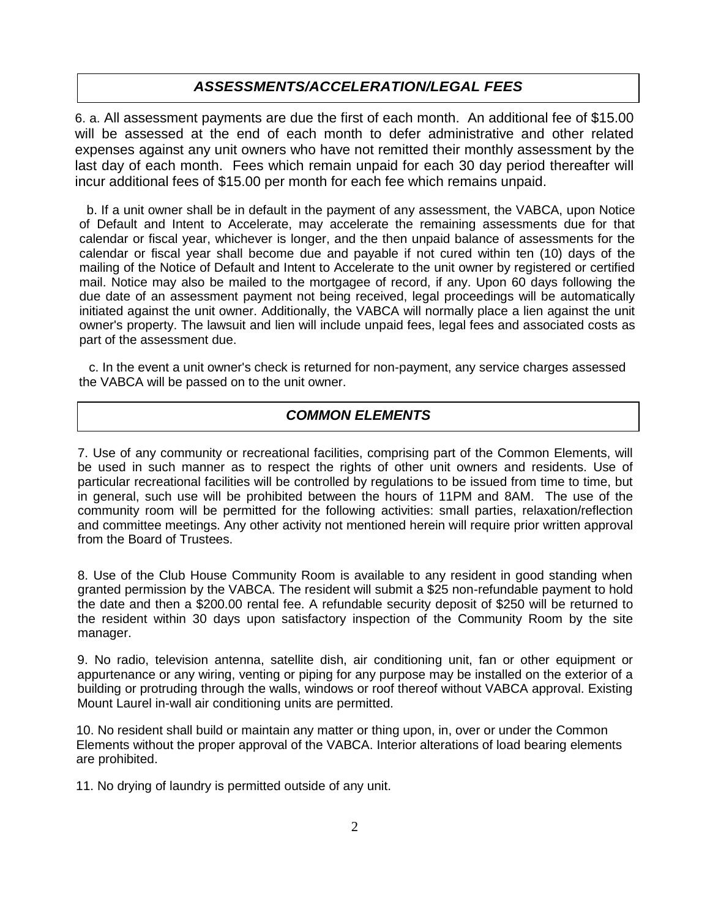#### *ASSESSMENTS/ACCELERATION/LEGAL FEES*

6. a. All assessment payments are due the first of each month. An additional fee of \$15.00 will be assessed at the end of each month to defer administrative and other related expenses against any unit owners who have not remitted their monthly assessment by the last day of each month. Fees which remain unpaid for each 30 day period thereafter will incur additional fees of \$15.00 per month for each fee which remains unpaid.

b. If a unit owner shall be in default in the payment of any assessment, the VABCA, upon Notice of Default and Intent to Accelerate, may accelerate the remaining assessments due for that calendar or fiscal year, whichever is longer, and the then unpaid balance of assessments for the calendar or fiscal year shall become due and payable if not cured within ten (10) days of the mailing of the Notice of Default and Intent to Accelerate to the unit owner by registered or certified mail. Notice may also be mailed to the mortgagee of record, if any. Upon 60 days following the due date of an assessment payment not being received, legal proceedings will be automatically initiated against the unit owner. Additionally, the VABCA will normally place a lien against the unit owner's property. The lawsuit and lien will include unpaid fees, legal fees and associated costs as part of the assessment due.

c. In the event a unit owner's check is returned for non-payment, any service charges assessed the VABCA will be passed on to the unit owner.

#### *COMMON ELEMENTS*

7. Use of any community or recreational facilities, comprising part of the Common Elements, will be used in such manner as to respect the rights of other unit owners and residents. Use of particular recreational facilities will be controlled by regulations to be issued from time to time, but in general, such use will be prohibited between the hours of 11PM and 8AM. The use of the community room will be permitted for the following activities: small parties, relaxation/reflection and committee meetings. Any other activity not mentioned herein will require prior written approval from the Board of Trustees.

8. Use of the Club House Community Room is available to any resident in good standing when granted permission by the VABCA. The resident will submit a \$25 non-refundable payment to hold the date and then a \$200.00 rental fee. A refundable security deposit of \$250 will be returned to the resident within 30 days upon satisfactory inspection of the Community Room by the site manager.

9. No radio, television antenna, satellite dish, air conditioning unit, fan or other equipment or appurtenance or any wiring, venting or piping for any purpose may be installed on the exterior of a building or protruding through the walls, windows or roof thereof without VABCA approval. Existing Mount Laurel in-wall air conditioning units are permitted.

10. No resident shall build or maintain any matter or thing upon, in, over or under the Common Elements without the proper approval of the VABCA. Interior alterations of load bearing elements are prohibited.

11. No drying of laundry is permitted outside of any unit.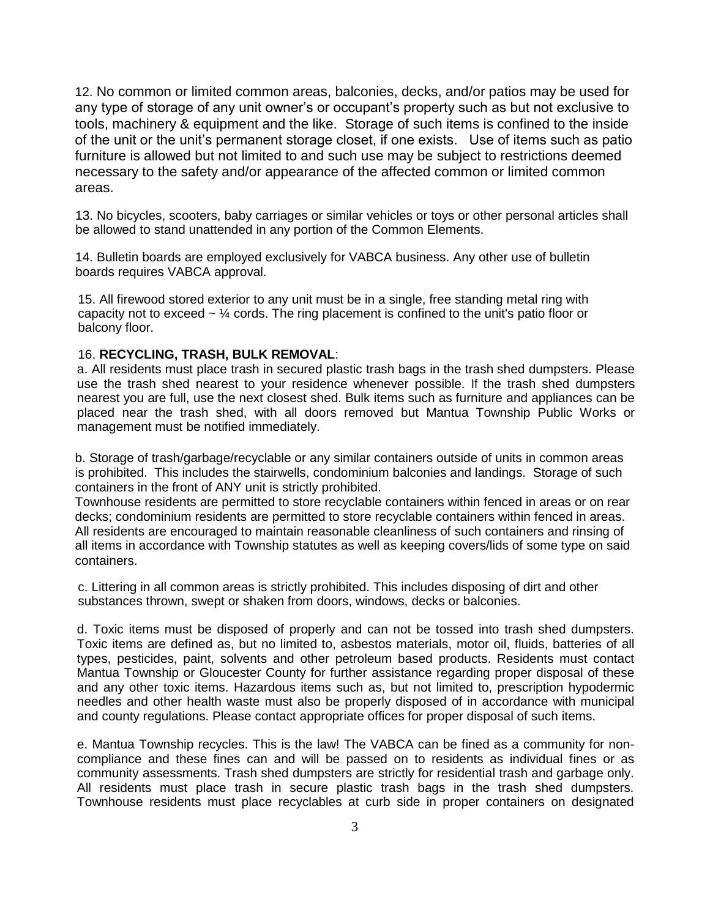12. No common or limited common areas, balconies, decks, and/or patios may be used for any type of storage of any unit owner's or occupant's property such as but not exclusive to tools, machinery & equipment and the like. Storage of such items is confined to the inside of the unit or the unit's permanent storage closet, if one exists. Use of items such as patio furniture is allowed but not limited to and such use may be subject to restrictions deemed necessary to the safety and/or appearance of the affected common or limited common areas.

13. No bicycles, scooters, baby carriages or similar vehicles or toys or other personal articles shall be allowed to stand unattended in any portion of the Common Elements.

14. Bulletin boards are employed exclusively for VABCA business. Any other use of bulletin boards requires VABCA approval.

15. All firewood stored exterior to any unit must be in a single, free standing metal ring with capacity not to exceed  $\sim$  1/4 cords. The ring placement is confined to the unit's patio floor or balcony floor.

#### 16. **RECYCLING, TRASH, BULK REMOVAL**:

a. All residents must place trash in secured plastic trash bags in the trash shed dumpsters. Please use the trash shed nearest to your residence whenever possible. If the trash shed dumpsters nearest you are full, use the next closest shed. Bulk items such as furniture and appliances can be placed near the trash shed, with all doors removed but Mantua Township Public Works or management must be notified immediately.

b. Storage of trash/garbage/recyclable or any similar containers outside of units in common areas is prohibited. This includes the stairwells, condominium balconies and landings. Storage of such containers in the front of ANY unit is strictly prohibited.

Townhouse residents are permitted to store recyclable containers within fenced in areas or on rear decks; condominium residents are permitted to store recyclable containers within fenced in areas. All residents are encouraged to maintain reasonable cleanliness of such containers and rinsing of all items in accordance with Township statutes as well as keeping covers/lids of some type on said containers.

c. Littering in all common areas is strictly prohibited. This includes disposing of dirt and other substances thrown, swept or shaken from doors, windows, decks or balconies.

d. Toxic items must be disposed of properly and can not be tossed into trash shed dumpsters. Toxic items are defined as, but no limited to, asbestos materials, motor oil, fluids, batteries of all types, pesticides, paint, solvents and other petroleum based products. Residents must contact Mantua Township or Gloucester County for further assistance regarding proper disposal of these and any other toxic items. Hazardous items such as, but not limited to, prescription hypodermic needles and other health waste must also be properly disposed of in accordance with municipal and county regulations. Please contact appropriate offices for proper disposal of such items.

e. Mantua Township recycles. This is the law! The VABCA can be fined as a community for noncompliance and these fines can and will be passed on to residents as individual fines or as community assessments. Trash shed dumpsters are strictly for residential trash and garbage only. All residents must place trash in secure plastic trash bags in the trash shed dumpsters. Townhouse residents must place recyclables at curb side in proper containers on designated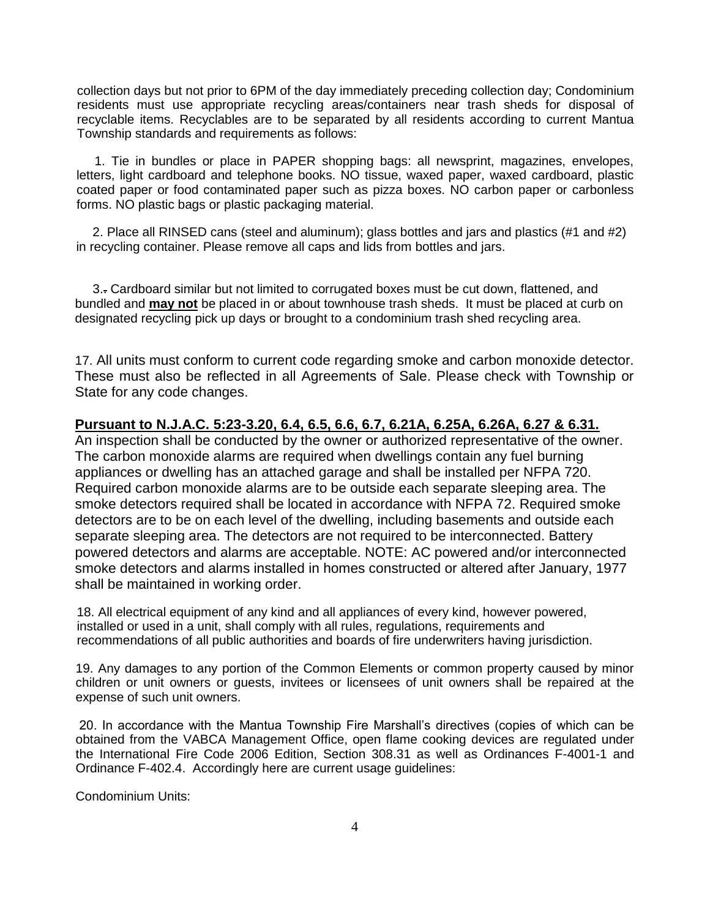collection days but not prior to 6PM of the day immediately preceding collection day; Condominium residents must use appropriate recycling areas/containers near trash sheds for disposal of recyclable items. Recyclables are to be separated by all residents according to current Mantua Township standards and requirements as follows:

1. Tie in bundles or place in PAPER shopping bags: all newsprint, magazines, envelopes, letters, light cardboard and telephone books. NO tissue, waxed paper, waxed cardboard, plastic coated paper or food contaminated paper such as pizza boxes. NO carbon paper or carbonless forms. NO plastic bags or plastic packaging material.

2. Place all RINSED cans (steel and aluminum); glass bottles and jars and plastics (#1 and #2) in recycling container. Please remove all caps and lids from bottles and jars.

3.. Cardboard similar but not limited to corrugated boxes must be cut down, flattened, and bundled and **may not** be placed in or about townhouse trash sheds. It must be placed at curb on designated recycling pick up days or brought to a condominium trash shed recycling area.

17. All units must conform to current code regarding smoke and carbon monoxide detector. These must also be reflected in all Agreements of Sale. Please check with Township or State for any code changes.

#### **Pursuant to N.J.A.C. 5:23-3.20, 6.4, 6.5, 6.6, 6.7, 6.21A, 6.25A, 6.26A, 6.27 & 6.31.**

An inspection shall be conducted by the owner or authorized representative of the owner. The carbon monoxide alarms are required when dwellings contain any fuel burning appliances or dwelling has an attached garage and shall be installed per NFPA 720. Required carbon monoxide alarms are to be outside each separate sleeping area. The smoke detectors required shall be located in accordance with NFPA 72. Required smoke detectors are to be on each level of the dwelling, including basements and outside each separate sleeping area. The detectors are not required to be interconnected. Battery powered detectors and alarms are acceptable. NOTE: AC powered and/or interconnected smoke detectors and alarms installed in homes constructed or altered after January, 1977 shall be maintained in working order.

18. All electrical equipment of any kind and all appliances of every kind, however powered, installed or used in a unit, shall comply with all rules, regulations, requirements and recommendations of all public authorities and boards of fire underwriters having jurisdiction.

19. Any damages to any portion of the Common Elements or common property caused by minor children or unit owners or guests, invitees or licensees of unit owners shall be repaired at the expense of such unit owners.

20. In accordance with the Mantua Township Fire Marshall's directives (copies of which can be obtained from the VABCA Management Office, open flame cooking devices are regulated under the International Fire Code 2006 Edition, Section 308.31 as well as Ordinances F-4001-1 and Ordinance F-402.4. Accordingly here are current usage guidelines:

Condominium Units: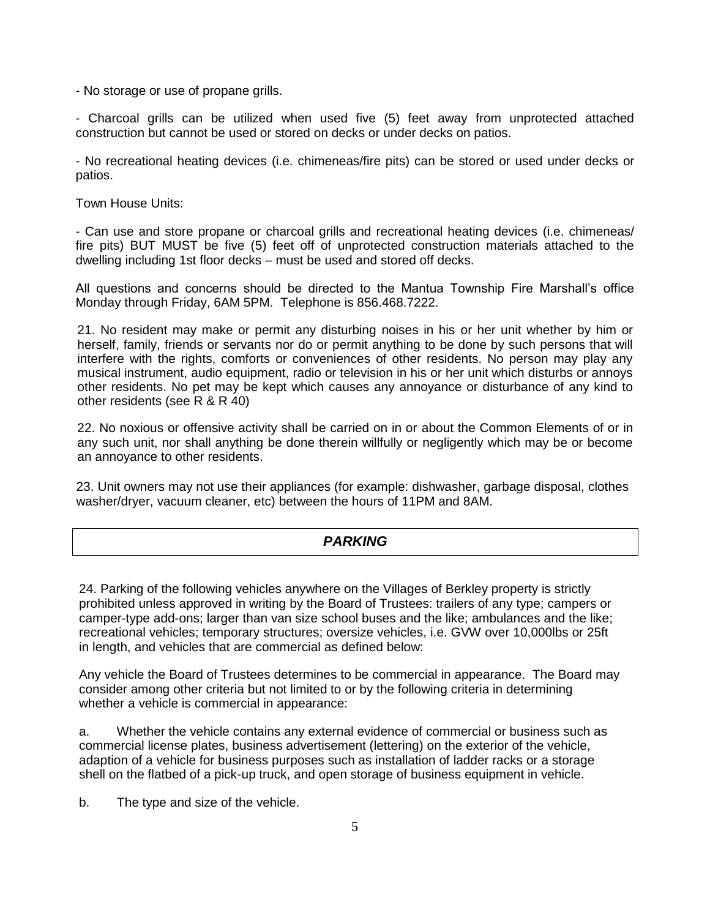- No storage or use of propane grills.

- Charcoal grills can be utilized when used five (5) feet away from unprotected attached construction but cannot be used or stored on decks or under decks on patios.

- No recreational heating devices (i.e. chimeneas/fire pits) can be stored or used under decks or patios.

Town House Units:

- Can use and store propane or charcoal grills and recreational heating devices (i.e. chimeneas/ fire pits) BUT MUST be five (5) feet off of unprotected construction materials attached to the dwelling including 1st floor decks – must be used and stored off decks.

All questions and concerns should be directed to the Mantua Township Fire Marshall's office Monday through Friday, 6AM 5PM. Telephone is 856.468.7222.

21. No resident may make or permit any disturbing noises in his or her unit whether by him or herself, family, friends or servants nor do or permit anything to be done by such persons that will interfere with the rights, comforts or conveniences of other residents. No person may play any musical instrument, audio equipment, radio or television in his or her unit which disturbs or annoys other residents. No pet may be kept which causes any annoyance or disturbance of any kind to other residents (see R & R 40)

22. No noxious or offensive activity shall be carried on in or about the Common Elements of or in any such unit, nor shall anything be done therein willfully or negligently which may be or become an annoyance to other residents.

23. Unit owners may not use their appliances (for example: dishwasher, garbage disposal, clothes washer/dryer, vacuum cleaner, etc) between the hours of 11PM and 8AM.

#### *PARKING*

24. Parking of the following vehicles anywhere on the Villages of Berkley property is strictly prohibited unless approved in writing by the Board of Trustees: trailers of any type; campers or camper-type add-ons; larger than van size school buses and the like; ambulances and the like; recreational vehicles; temporary structures; oversize vehicles, i.e. GVW over 10,000lbs or 25ft in length, and vehicles that are commercial as defined below:

Any vehicle the Board of Trustees determines to be commercial in appearance. The Board may consider among other criteria but not limited to or by the following criteria in determining whether a vehicle is commercial in appearance:

a. Whether the vehicle contains any external evidence of commercial or business such as commercial license plates, business advertisement (lettering) on the exterior of the vehicle, adaption of a vehicle for business purposes such as installation of ladder racks or a storage shell on the flatbed of a pick-up truck, and open storage of business equipment in vehicle.

b. The type and size of the vehicle.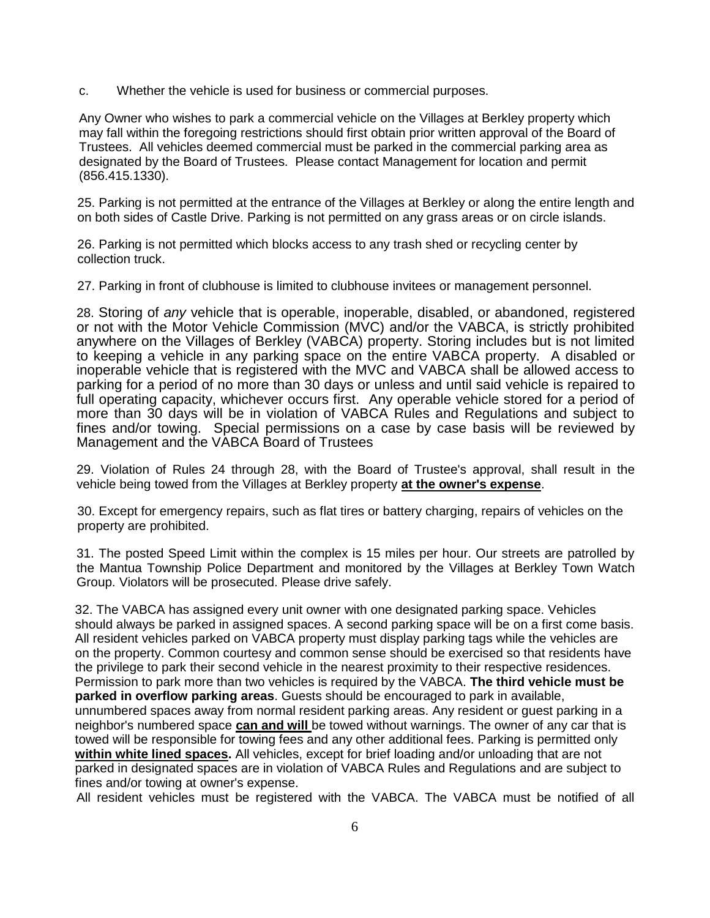c. Whether the vehicle is used for business or commercial purposes.

Any Owner who wishes to park a commercial vehicle on the Villages at Berkley property which may fall within the foregoing restrictions should first obtain prior written approval of the Board of Trustees. All vehicles deemed commercial must be parked in the commercial parking area as designated by the Board of Trustees. Please contact Management for location and permit (856.415.1330).

25. Parking is not permitted at the entrance of the Villages at Berkley or along the entire length and on both sides of Castle Drive. Parking is not permitted on any grass areas or on circle islands.

26. Parking is not permitted which blocks access to any trash shed or recycling center by collection truck.

27. Parking in front of clubhouse is limited to clubhouse invitees or management personnel.

28. Storing of *any* vehicle that is operable, inoperable, disabled, or abandoned, registered or not with the Motor Vehicle Commission (MVC) and/or the VABCA, is strictly prohibited anywhere on the Villages of Berkley (VABCA) property. Storing includes but is not limited to keeping a vehicle in any parking space on the entire VABCA property. A disabled or inoperable vehicle that is registered with the MVC and VABCA shall be allowed access to parking for a period of no more than 30 days or unless and until said vehicle is repaired to full operating capacity, whichever occurs first. Any operable vehicle stored for a period of more than 30 days will be in violation of VABCA Rules and Regulations and subject to fines and/or towing. Special permissions on a case by case basis will be reviewed by Management and the VABCA Board of Trustees

29. Violation of Rules 24 through 28, with the Board of Trustee's approval, shall result in the vehicle being towed from the Villages at Berkley property **at the owner's expense**.

30. Except for emergency repairs, such as flat tires or battery charging, repairs of vehicles on the property are prohibited.

31. The posted Speed Limit within the complex is 15 miles per hour. Our streets are patrolled by the Mantua Township Police Department and monitored by the Villages at Berkley Town Watch Group. Violators will be prosecuted. Please drive safely.

32. The VABCA has assigned every unit owner with one designated parking space. Vehicles should always be parked in assigned spaces. A second parking space will be on a first come basis. All resident vehicles parked on VABCA property must display parking tags while the vehicles are on the property. Common courtesy and common sense should be exercised so that residents have the privilege to park their second vehicle in the nearest proximity to their respective residences. Permission to park more than two vehicles is required by the VABCA. **The third vehicle must be parked in overflow parking areas**. Guests should be encouraged to park in available, unnumbered spaces away from normal resident parking areas. Any resident or guest parking in a neighbor's numbered space **can and will** be towed without warnings. The owner of any car that is towed will be responsible for towing fees and any other additional fees. Parking is permitted only **within white lined spaces.** All vehicles, except for brief loading and/or unloading that are not parked in designated spaces are in violation of VABCA Rules and Regulations and are subject to fines and/or towing at owner's expense.

All resident vehicles must be registered with the VABCA. The VABCA must be notified of all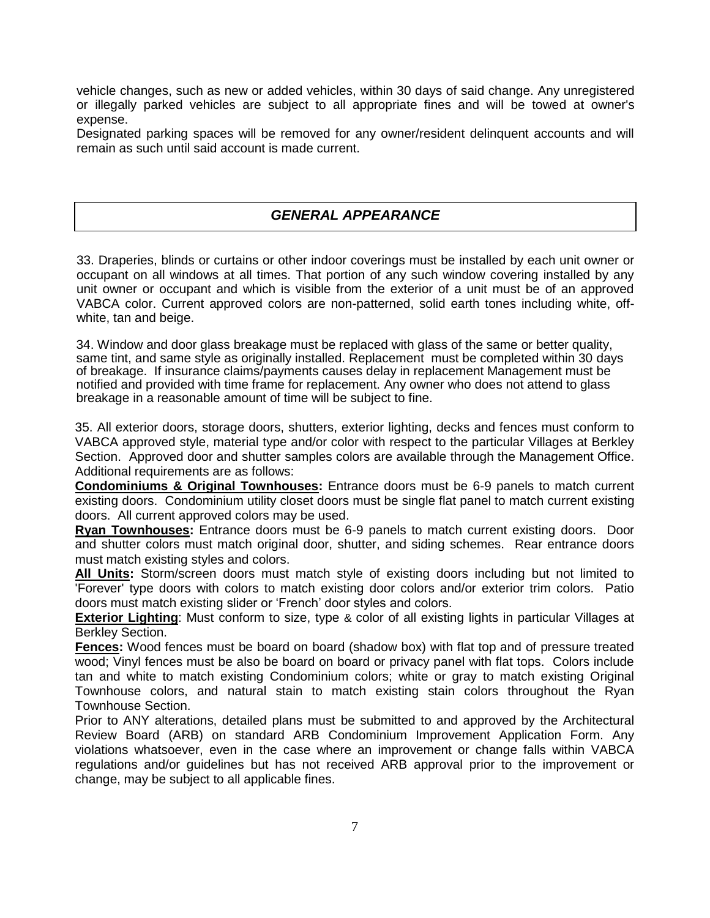vehicle changes, such as new or added vehicles, within 30 days of said change. Any unregistered or illegally parked vehicles are subject to all appropriate fines and will be towed at owner's expense.

Designated parking spaces will be removed for any owner/resident delinquent accounts and will remain as such until said account is made current.

#### *GENERAL APPEARANCE*

33. Draperies, blinds or curtains or other indoor coverings must be installed by each unit owner or occupant on all windows at all times. That portion of any such window covering installed by any unit owner or occupant and which is visible from the exterior of a unit must be of an approved VABCA color. Current approved colors are non-patterned, solid earth tones including white, offwhite, tan and beige.

34. Window and door glass breakage must be replaced with glass of the same or better quality, same tint, and same style as originally installed. Replacement must be completed within 30 days of breakage. If insurance claims/payments causes delay in replacement Management must be notified and provided with time frame for replacement. Any owner who does not attend to glass breakage in a reasonable amount of time will be subject to fine.

35. All exterior doors, storage doors, shutters, exterior lighting, decks and fences must conform to VABCA approved style, material type and/or color with respect to the particular Villages at Berkley Section. Approved door and shutter samples colors are available through the Management Office. Additional requirements are as follows:

**Condominiums & Original Townhouses:** Entrance doors must be 6-9 panels to match current existing doors. Condominium utility closet doors must be single flat panel to match current existing doors. All current approved colors may be used.

**Ryan Townhouses:** Entrance doors must be 6-9 panels to match current existing doors. Door and shutter colors must match original door, shutter, and siding schemes. Rear entrance doors must match existing styles and colors.

**All Units:** Storm/screen doors must match style of existing doors including but not limited to 'Forever' type doors with colors to match existing door colors and/or exterior trim colors. Patio doors must match existing slider or 'French' door styles and colors.

**Exterior Lighting**: Must conform to size, type & color of all existing lights in particular Villages at Berkley Section.

**Fences:** Wood fences must be board on board (shadow box) with flat top and of pressure treated wood; Vinyl fences must be also be board on board or privacy panel with flat tops. Colors include tan and white to match existing Condominium colors; white or gray to match existing Original Townhouse colors, and natural stain to match existing stain colors throughout the Ryan Townhouse Section.

Prior to ANY alterations, detailed plans must be submitted to and approved by the Architectural Review Board (ARB) on standard ARB Condominium Improvement Application Form. Any violations whatsoever, even in the case where an improvement or change falls within VABCA regulations and/or guidelines but has not received ARB approval prior to the improvement or change, may be subject to all applicable fines.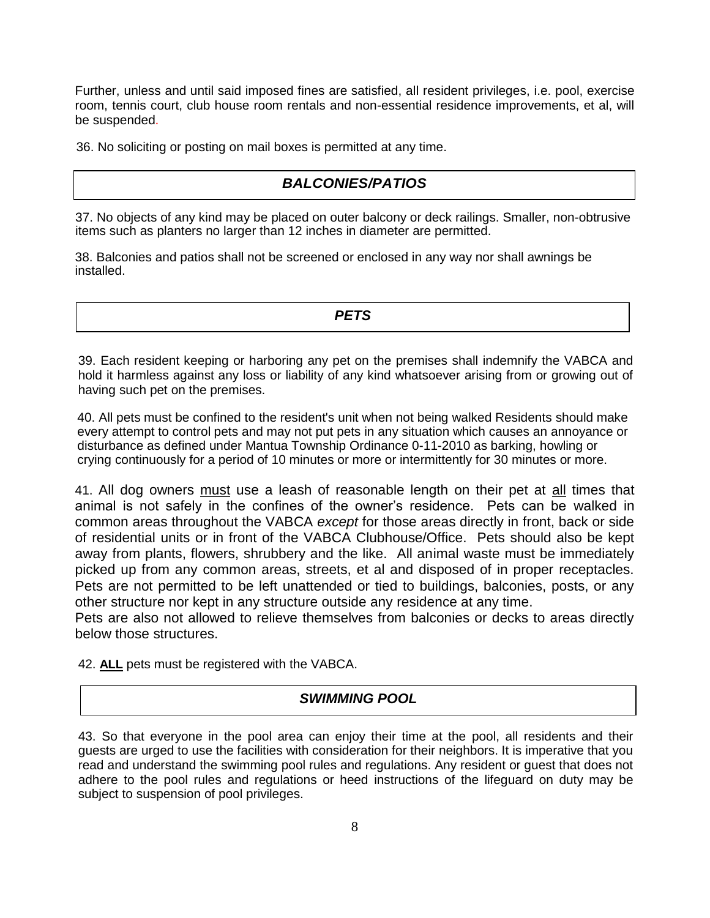Further, unless and until said imposed fines are satisfied, all resident privileges, i.e. pool, exercise room, tennis court, club house room rentals and non-essential residence improvements, et al, will be suspended.

36. No soliciting or posting on mail boxes is permitted at any time.

### *BALCONIES/PATIOS*

37. No objects of any kind may be placed on outer balcony or deck railings. Smaller, non-obtrusive items such as planters no larger than 12 inches in diameter are permitted.

38. Balconies and patios shall not be screened or enclosed in any way nor shall awnings be installed.

*PETS*

39. Each resident keeping or harboring any pet on the premises shall indemnify the VABCA and hold it harmless against any loss or liability of any kind whatsoever arising from or growing out of having such pet on the premises.

40. All pets must be confined to the resident's unit when not being walked Residents should make every attempt to control pets and may not put pets in any situation which causes an annoyance or disturbance as defined under Mantua Township Ordinance 0-11-2010 as barking, howling or crying continuously for a period of 10 minutes or more or intermittently for 30 minutes or more.

41. All dog owners must use a leash of reasonable length on their pet at all times that animal is not safely in the confines of the owner's residence. Pets can be walked in common areas throughout the VABCA *except* for those areas directly in front, back or side of residential units or in front of the VABCA Clubhouse/Office. Pets should also be kept away from plants, flowers, shrubbery and the like. All animal waste must be immediately picked up from any common areas, streets, et al and disposed of in proper receptacles. Pets are not permitted to be left unattended or tied to buildings, balconies, posts, or any other structure nor kept in any structure outside any residence at any time.

Pets are also not allowed to relieve themselves from balconies or decks to areas directly below those structures.

42. **ALL** pets must be registered with the VABCA.

#### *SWIMMING POOL*

43. So that everyone in the pool area can enjoy their time at the pool, all residents and their guests are urged to use the facilities with consideration for their neighbors. It is imperative that you read and understand the swimming pool rules and regulations. Any resident or guest that does not adhere to the pool rules and regulations or heed instructions of the lifeguard on duty may be subject to suspension of pool privileges.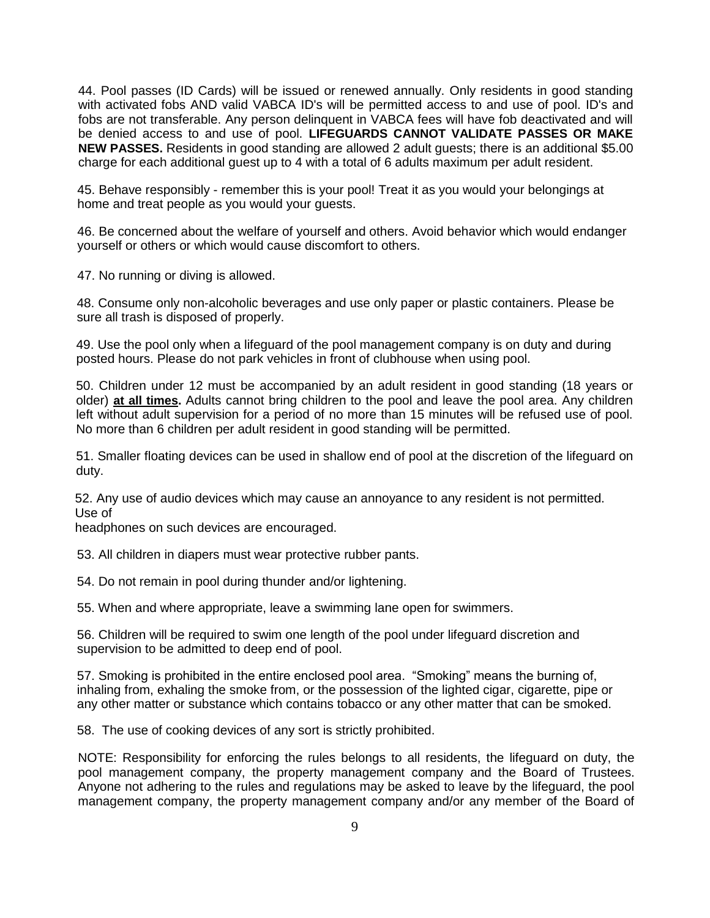44. Pool passes (ID Cards) will be issued or renewed annually. Only residents in good standing with activated fobs AND valid VABCA ID's will be permitted access to and use of pool. ID's and fobs are not transferable. Any person delinquent in VABCA fees will have fob deactivated and will be denied access to and use of pool. **LIFEGUARDS CANNOT VALIDATE PASSES OR MAKE NEW PASSES.** Residents in good standing are allowed 2 adult guests; there is an additional \$5.00 charge for each additional guest up to 4 with a total of 6 adults maximum per adult resident.

45. Behave responsibly - remember this is your pool! Treat it as you would your belongings at home and treat people as you would your guests.

46. Be concerned about the welfare of yourself and others. Avoid behavior which would endanger yourself or others or which would cause discomfort to others.

47. No running or diving is allowed.

48. Consume only non-alcoholic beverages and use only paper or plastic containers. Please be sure all trash is disposed of properly.

49. Use the pool only when a lifeguard of the pool management company is on duty and during posted hours. Please do not park vehicles in front of clubhouse when using pool.

50. Children under 12 must be accompanied by an adult resident in good standing (18 years or older) **at all times.** Adults cannot bring children to the pool and leave the pool area. Any children left without adult supervision for a period of no more than 15 minutes will be refused use of pool. No more than 6 children per adult resident in good standing will be permitted.

51. Smaller floating devices can be used in shallow end of pool at the discretion of the lifeguard on duty.

52. Any use of audio devices which may cause an annoyance to any resident is not permitted. Use of

headphones on such devices are encouraged.

53. All children in diapers must wear protective rubber pants.

54. Do not remain in pool during thunder and/or lightening.

55. When and where appropriate, leave a swimming lane open for swimmers.

56. Children will be required to swim one length of the pool under lifeguard discretion and supervision to be admitted to deep end of pool.

57. Smoking is prohibited in the entire enclosed pool area. "Smoking" means the burning of, inhaling from, exhaling the smoke from, or the possession of the lighted cigar, cigarette, pipe or any other matter or substance which contains tobacco or any other matter that can be smoked.

58. The use of cooking devices of any sort is strictly prohibited.

NOTE: Responsibility for enforcing the rules belongs to all residents, the lifeguard on duty, the pool management company, the property management company and the Board of Trustees. Anyone not adhering to the rules and regulations may be asked to leave by the lifeguard, the pool management company, the property management company and/or any member of the Board of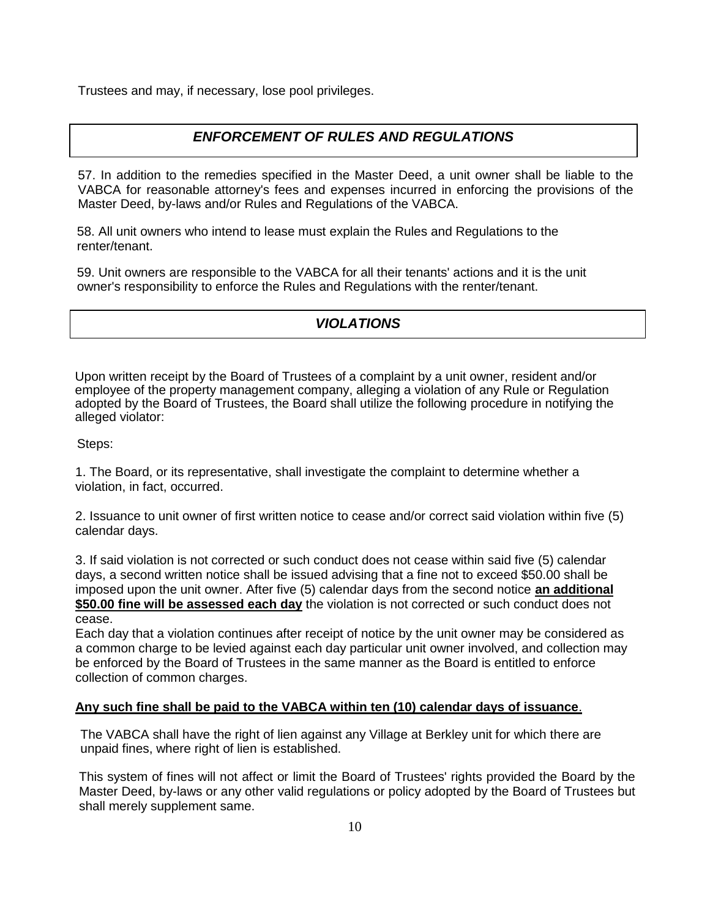Trustees and may, if necessary, lose pool privileges.

### *ENFORCEMENT OF RULES AND REGULATIONS*

57. In addition to the remedies specified in the Master Deed, a unit owner shall be liable to the VABCA for reasonable attorney's fees and expenses incurred in enforcing the provisions of the Master Deed, by-laws and/or Rules and Regulations of the VABCA.

58. All unit owners who intend to lease must explain the Rules and Regulations to the renter/tenant.

59. Unit owners are responsible to the VABCA for all their tenants' actions and it is the unit owner's responsibility to enforce the Rules and Regulations with the renter/tenant.

### *VIOLATIONS*

Upon written receipt by the Board of Trustees of a complaint by a unit owner, resident and/or employee of the property management company, alleging a violation of any Rule or Regulation adopted by the Board of Trustees, the Board shall utilize the following procedure in notifying the alleged violator:

Steps:

1. The Board, or its representative, shall investigate the complaint to determine whether a violation, in fact, occurred.

2. Issuance to unit owner of first written notice to cease and/or correct said violation within five (5) calendar days.

3. If said violation is not corrected or such conduct does not cease within said five (5) calendar days, a second written notice shall be issued advising that a fine not to exceed \$50.00 shall be imposed upon the unit owner. After five (5) calendar days from the second notice **an additional \$50.00 fine will be assessed each day** the violation is not corrected or such conduct does not cease.

Each day that a violation continues after receipt of notice by the unit owner may be considered as a common charge to be levied against each day particular unit owner involved, and collection may be enforced by the Board of Trustees in the same manner as the Board is entitled to enforce collection of common charges.

#### **Any such fine shall be paid to the VABCA within ten (10) calendar days of issuance**.

The VABCA shall have the right of lien against any Village at Berkley unit for which there are unpaid fines, where right of lien is established.

This system of fines will not affect or limit the Board of Trustees' rights provided the Board by the Master Deed, by-laws or any other valid regulations or policy adopted by the Board of Trustees but shall merely supplement same.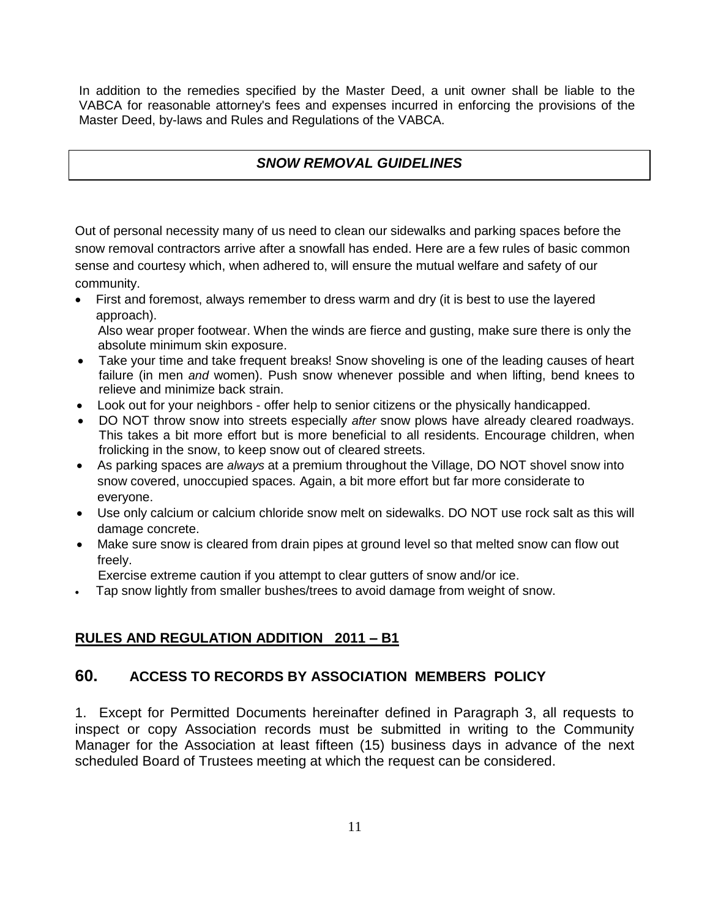In addition to the remedies specified by the Master Deed, a unit owner shall be liable to the VABCA for reasonable attorney's fees and expenses incurred in enforcing the provisions of the Master Deed, by-laws and Rules and Regulations of the VABCA.

#### *SNOW REMOVAL GUIDELINES*

Out of personal necessity many of us need to clean our sidewalks and parking spaces before the snow removal contractors arrive after a snowfall has ended. Here are a few rules of basic common sense and courtesy which, when adhered to, will ensure the mutual welfare and safety of our community.

- First and foremost, always remember to dress warm and dry (it is best to use the layered approach). Also wear proper footwear. When the winds are fierce and gusting, make sure there is only the
- absolute minimum skin exposure. • Take your time and take frequent breaks! Snow shoveling is one of the leading causes of heart failure (in men *and* women). Push snow whenever possible and when lifting, bend knees to relieve and minimize back strain.
- Look out for your neighbors offer help to senior citizens or the physically handicapped.
- DO NOT throw snow into streets especially *after* snow plows have already cleared roadways. This takes a bit more effort but is more beneficial to all residents. Encourage children, when frolicking in the snow, to keep snow out of cleared streets.
- As parking spaces are *always* at a premium throughout the Village, DO NOT shovel snow into snow covered, unoccupied spaces. Again, a bit more effort but far more considerate to everyone.
- Use only calcium or calcium chloride snow melt on sidewalks. DO NOT use rock salt as this will damage concrete.
- Make sure snow is cleared from drain pipes at ground level so that melted snow can flow out freely.

Exercise extreme caution if you attempt to clear gutters of snow and/or ice.

• Tap snow lightly from smaller bushes/trees to avoid damage from weight of snow.

### **RULES AND REGULATION ADDITION 2011 – B1**

#### **60. ACCESS TO RECORDS BY ASSOCIATION MEMBERS POLICY**

1. Except for Permitted Documents hereinafter defined in Paragraph 3, all requests to inspect or copy Association records must be submitted in writing to the Community Manager for the Association at least fifteen (15) business days in advance of the next scheduled Board of Trustees meeting at which the request can be considered.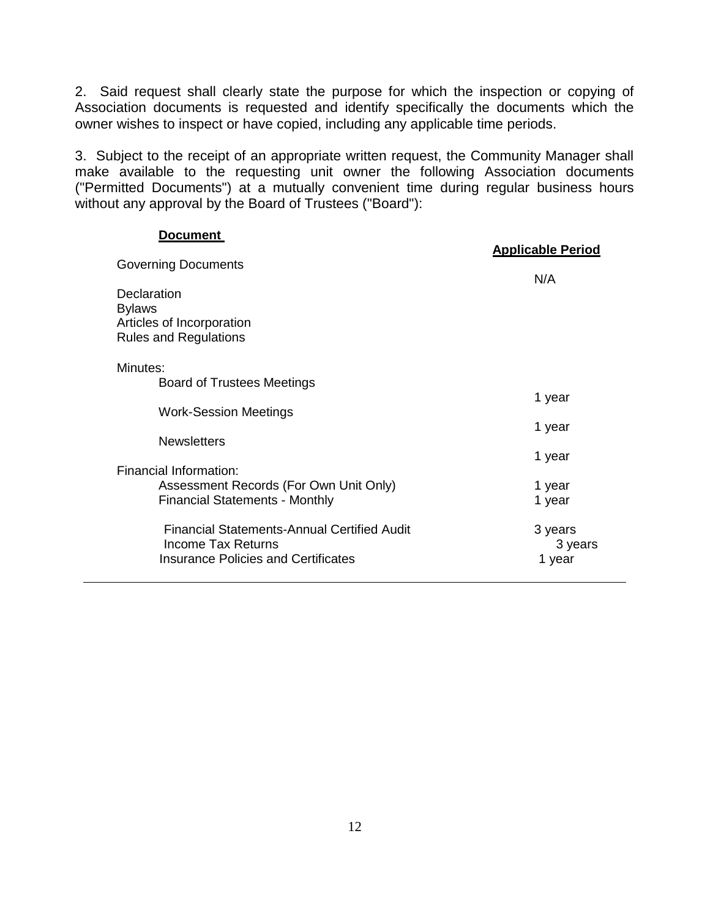2. Said request shall clearly state the purpose for which the inspection or copying of Association documents is requested and identify specifically the documents which the owner wishes to inspect or have copied, including any applicable time periods.

3. Subject to the receipt of an appropriate written request, the Community Manager shall make available to the requesting unit owner the following Association documents ("Permitted Documents") at a mutually convenient time during regular business hours without any approval by the Board of Trustees ("Board"):

#### **Document**

| --------                                                                                                               | <b>Applicable Period</b>     |
|------------------------------------------------------------------------------------------------------------------------|------------------------------|
| <b>Governing Documents</b>                                                                                             | N/A                          |
| <b>Declaration</b><br><b>Bylaws</b><br>Articles of Incorporation<br><b>Rules and Regulations</b>                       |                              |
| Minutes:<br><b>Board of Trustees Meetings</b>                                                                          |                              |
| <b>Work-Session Meetings</b>                                                                                           | 1 year                       |
| <b>Newsletters</b>                                                                                                     | 1 year                       |
| Financial Information:                                                                                                 | 1 year                       |
| Assessment Records (For Own Unit Only)<br><b>Financial Statements - Monthly</b>                                        | 1 year<br>1 year             |
| <b>Financial Statements-Annual Certified Audit</b><br>Income Tax Returns<br><b>Insurance Policies and Certificates</b> | 3 years<br>3 years<br>1 year |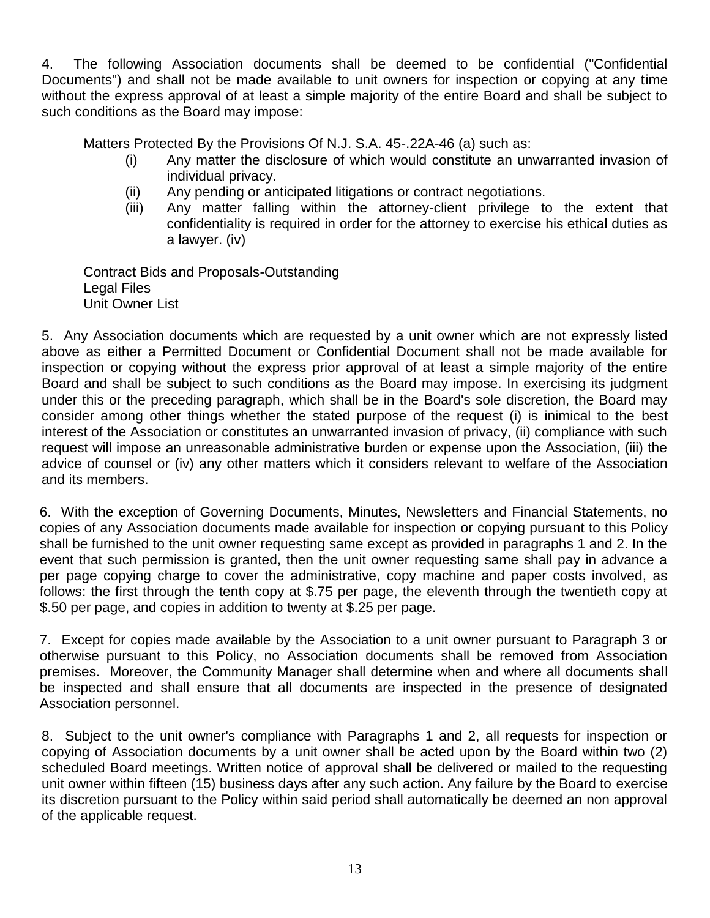4. The following Association documents shall be deemed to be confidential ("Confidential Documents") and shall not be made available to unit owners for inspection or copying at any time without the express approval of at least a simple majority of the entire Board and shall be subject to such conditions as the Board may impose:

Matters Protected By the Provisions Of N.J. S.A. 45-.22A-46 (a) such as:

- (i) Any matter the disclosure of which would constitute an unwarranted invasion of individual privacy.
- (ii) Any pending or anticipated litigations or contract negotiations.
- (iii) Any matter falling within the attorney-client privilege to the extent that confidentiality is required in order for the attorney to exercise his ethical duties as a lawyer. (iv)

Contract Bids and Proposals-Outstanding Legal Files Unit Owner List

5. Any Association documents which are requested by a unit owner which are not expressly listed above as either a Permitted Document or Confidential Document shall not be made available for inspection or copying without the express prior approval of at least a simple majority of the entire Board and shall be subject to such conditions as the Board may impose. In exercising its judgment under this or the preceding paragraph, which shall be in the Board's sole discretion, the Board may consider among other things whether the stated purpose of the request (i) is inimical to the best interest of the Association or constitutes an unwarranted invasion of privacy, (ii) compliance with such request will impose an unreasonable administrative burden or expense upon the Association, (iii) the advice of counsel or (iv) any other matters which it considers relevant to welfare of the Association and its members.

6. With the exception of Governing Documents, Minutes, Newsletters and Financial Statements, no copies of any Association documents made available for inspection or copying pursuant to this Policy shall be furnished to the unit owner requesting same except as provided in paragraphs 1 and 2. In the event that such permission is granted, then the unit owner requesting same shall pay in advance a per page copying charge to cover the administrative, copy machine and paper costs involved, as follows: the first through the tenth copy at \$.75 per page, the eleventh through the twentieth copy at \$.50 per page, and copies in addition to twenty at \$.25 per page.

7. Except for copies made available by the Association to a unit owner pursuant to Paragraph 3 or otherwise pursuant to this Policy, no Association documents shall be removed from Association premises. Moreover, the Community Manager shall determine when and where all documents shall be inspected and shall ensure that all documents are inspected in the presence of designated Association personnel.

8. Subject to the unit owner's compliance with Paragraphs 1 and 2, all requests for inspection or copying of Association documents by a unit owner shall be acted upon by the Board within two (2) scheduled Board meetings. Written notice of approval shall be delivered or mailed to the requesting unit owner within fifteen (15) business days after any such action. Any failure by the Board to exercise its discretion pursuant to the Policy within said period shall automatically be deemed an non approval of the applicable request.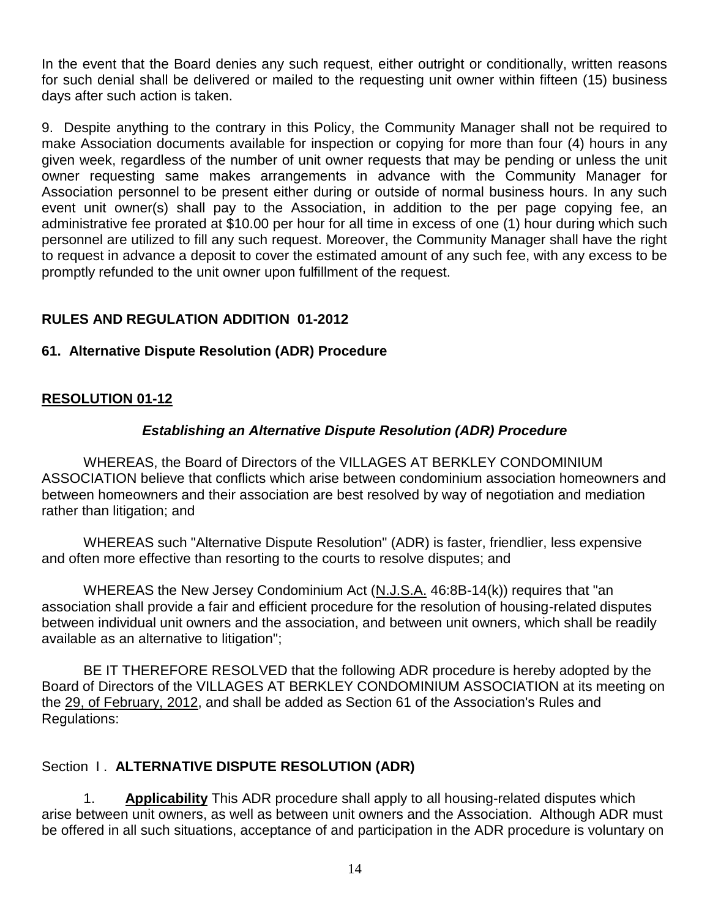In the event that the Board denies any such request, either outright or conditionally, written reasons for such denial shall be delivered or mailed to the requesting unit owner within fifteen (15) business days after such action is taken.

9. Despite anything to the contrary in this Policy, the Community Manager shall not be required to make Association documents available for inspection or copying for more than four (4) hours in any given week, regardless of the number of unit owner requests that may be pending or unless the unit owner requesting same makes arrangements in advance with the Community Manager for Association personnel to be present either during or outside of normal business hours. In any such event unit owner(s) shall pay to the Association, in addition to the per page copying fee, an administrative fee prorated at \$10.00 per hour for all time in excess of one (1) hour during which such personnel are utilized to fill any such request. Moreover, the Community Manager shall have the right to request in advance a deposit to cover the estimated amount of any such fee, with any excess to be promptly refunded to the unit owner upon fulfillment of the request.

# **RULES AND REGULATION ADDITION 01-2012**

### **61. Alternative Dispute Resolution (ADR) Procedure**

# **RESOLUTION 01-12**

### *Establishing an Alternative Dispute Resolution (ADR) Procedure*

WHEREAS, the Board of Directors of the VILLAGES AT BERKLEY CONDOMINIUM ASSOCIATION believe that conflicts which arise between condominium association homeowners and between homeowners and their association are best resolved by way of negotiation and mediation rather than litigation; and

WHEREAS such "Alternative Dispute Resolution" (ADR) is faster, friendlier, less expensive and often more effective than resorting to the courts to resolve disputes; and

WHEREAS the New Jersey Condominium Act (N.J.S.A. 46:8B-14(k)) requires that "an association shall provide a fair and efficient procedure for the resolution of housing-related disputes between individual unit owners and the association, and between unit owners, which shall be readily available as an alternative to litigation";

BE IT THEREFORE RESOLVED that the following ADR procedure is hereby adopted by the Board of Directors of the VILLAGES AT BERKLEY CONDOMINIUM ASSOCIATION at its meeting on the 29, of February, 2012, and shall be added as Section 61 of the Association's Rules and Regulations:

### Section **I. ALTERNATIVE DISPUTE RESOLUTION (ADR)**

1. **Applicability** This ADR procedure shall apply to all housing-related disputes which arise between unit owners, as well as between unit owners and the Association. Although ADR must be offered in all such situations, acceptance of and participation in the ADR procedure is voluntary on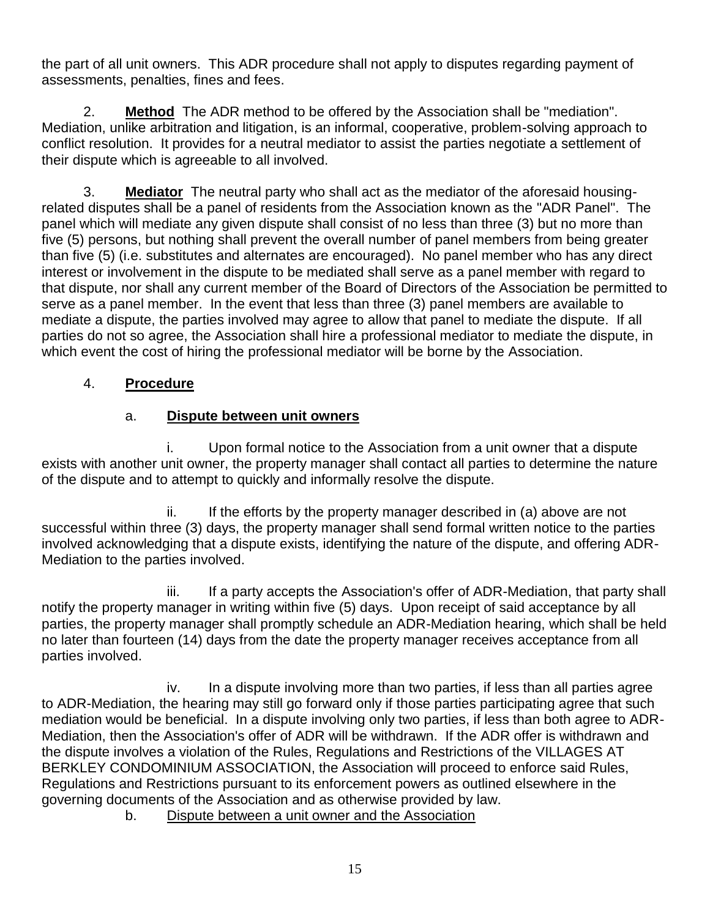the part of all unit owners. This ADR procedure shall not apply to disputes regarding payment of assessments, penalties, fines and fees.

2. **Method** The ADR method to be offered by the Association shall be "mediation". Mediation, unlike arbitration and litigation, is an informal, cooperative, problem-solving approach to conflict resolution. It provides for a neutral mediator to assist the parties negotiate a settlement of their dispute which is agreeable to all involved.

3. **Mediator** The neutral party who shall act as the mediator of the aforesaid housingrelated disputes shall be a panel of residents from the Association known as the "ADR Panel". The panel which will mediate any given dispute shall consist of no less than three (3) but no more than five (5) persons, but nothing shall prevent the overall number of panel members from being greater than five (5) (i.e. substitutes and alternates are encouraged). No panel member who has any direct interest or involvement in the dispute to be mediated shall serve as a panel member with regard to that dispute, nor shall any current member of the Board of Directors of the Association be permitted to serve as a panel member. In the event that less than three (3) panel members are available to mediate a dispute, the parties involved may agree to allow that panel to mediate the dispute. If all parties do not so agree, the Association shall hire a professional mediator to mediate the dispute, in which event the cost of hiring the professional mediator will be borne by the Association.

# 4. **Procedure**

# a. **Dispute between unit owners**

i. Upon formal notice to the Association from a unit owner that a dispute exists with another unit owner, the property manager shall contact all parties to determine the nature of the dispute and to attempt to quickly and informally resolve the dispute.

 $ii.$  If the efforts by the property manager described in (a) above are not successful within three (3) days, the property manager shall send formal written notice to the parties involved acknowledging that a dispute exists, identifying the nature of the dispute, and offering ADR-Mediation to the parties involved.

iii. If a party accepts the Association's offer of ADR-Mediation, that party shall notify the property manager in writing within five (5) days. Upon receipt of said acceptance by all parties, the property manager shall promptly schedule an ADR-Mediation hearing, which shall be held no later than fourteen (14) days from the date the property manager receives acceptance from all parties involved.

iv. In a dispute involving more than two parties, if less than all parties agree to ADR-Mediation, the hearing may still go forward only if those parties participating agree that such mediation would be beneficial. In a dispute involving only two parties, if less than both agree to ADR-Mediation, then the Association's offer of ADR will be withdrawn. If the ADR offer is withdrawn and the dispute involves a violation of the Rules, Regulations and Restrictions of the VILLAGES AT BERKLEY CONDOMINIUM ASSOCIATION, the Association will proceed to enforce said Rules, Regulations and Restrictions pursuant to its enforcement powers as outlined elsewhere in the governing documents of the Association and as otherwise provided by law.

b. Dispute between a unit owner and the Association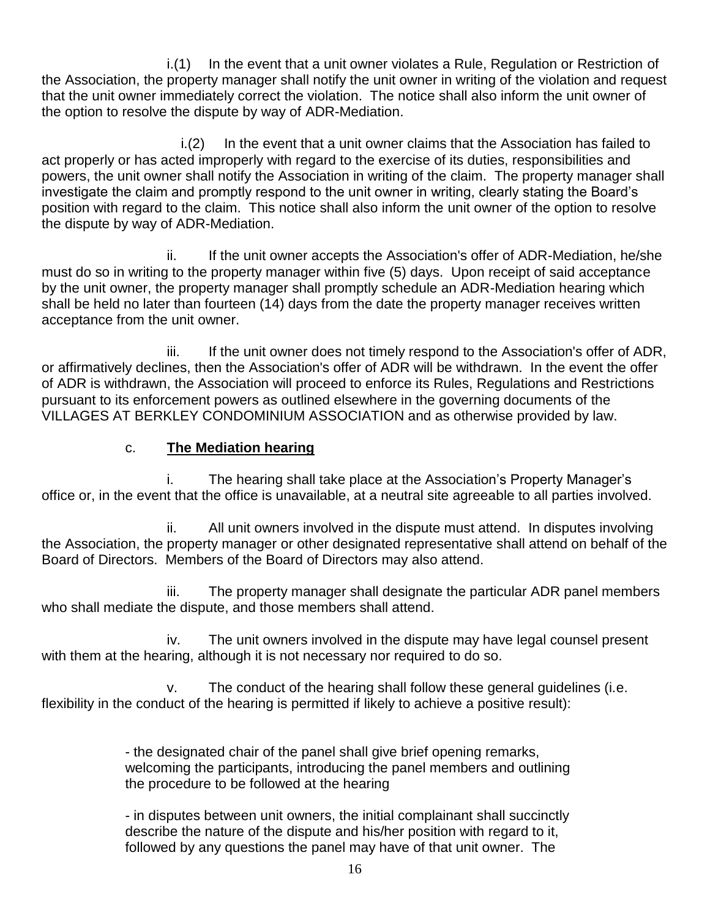i.(1) In the event that a unit owner violates a Rule, Regulation or Restriction of the Association, the property manager shall notify the unit owner in writing of the violation and request that the unit owner immediately correct the violation. The notice shall also inform the unit owner of the option to resolve the dispute by way of ADR-Mediation.

 $i(2)$  In the event that a unit owner claims that the Association has failed to act properly or has acted improperly with regard to the exercise of its duties, responsibilities and powers, the unit owner shall notify the Association in writing of the claim. The property manager shall investigate the claim and promptly respond to the unit owner in writing, clearly stating the Board's position with regard to the claim. This notice shall also inform the unit owner of the option to resolve the dispute by way of ADR-Mediation.

ii. If the unit owner accepts the Association's offer of ADR-Mediation, he/she must do so in writing to the property manager within five (5) days. Upon receipt of said acceptance by the unit owner, the property manager shall promptly schedule an ADR-Mediation hearing which shall be held no later than fourteen (14) days from the date the property manager receives written acceptance from the unit owner.

iii. If the unit owner does not timely respond to the Association's offer of ADR, or affirmatively declines, then the Association's offer of ADR will be withdrawn. In the event the offer of ADR is withdrawn, the Association will proceed to enforce its Rules, Regulations and Restrictions pursuant to its enforcement powers as outlined elsewhere in the governing documents of the VILLAGES AT BERKLEY CONDOMINIUM ASSOCIATION and as otherwise provided by law.

# c. **The Mediation hearing**

i. The hearing shall take place at the Association's Property Manager's office or, in the event that the office is unavailable, at a neutral site agreeable to all parties involved.

ii. All unit owners involved in the dispute must attend. In disputes involving the Association, the property manager or other designated representative shall attend on behalf of the Board of Directors. Members of the Board of Directors may also attend.

iii. The property manager shall designate the particular ADR panel members who shall mediate the dispute, and those members shall attend.

iv. The unit owners involved in the dispute may have legal counsel present with them at the hearing, although it is not necessary nor required to do so.

v. The conduct of the hearing shall follow these general guidelines (i.e. flexibility in the conduct of the hearing is permitted if likely to achieve a positive result):

> - the designated chair of the panel shall give brief opening remarks, welcoming the participants, introducing the panel members and outlining the procedure to be followed at the hearing

> - in disputes between unit owners, the initial complainant shall succinctly describe the nature of the dispute and his/her position with regard to it, followed by any questions the panel may have of that unit owner. The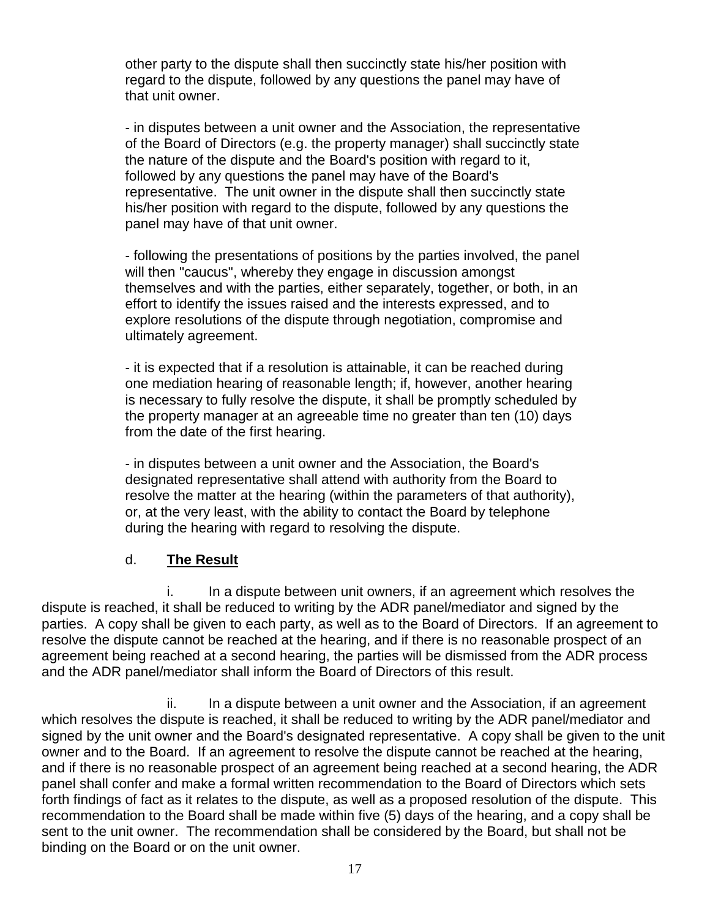other party to the dispute shall then succinctly state his/her position with regard to the dispute, followed by any questions the panel may have of that unit owner.

- in disputes between a unit owner and the Association, the representative of the Board of Directors (e.g. the property manager) shall succinctly state the nature of the dispute and the Board's position with regard to it, followed by any questions the panel may have of the Board's representative. The unit owner in the dispute shall then succinctly state his/her position with regard to the dispute, followed by any questions the panel may have of that unit owner.

- following the presentations of positions by the parties involved, the panel will then "caucus", whereby they engage in discussion amongst themselves and with the parties, either separately, together, or both, in an effort to identify the issues raised and the interests expressed, and to explore resolutions of the dispute through negotiation, compromise and ultimately agreement.

- it is expected that if a resolution is attainable, it can be reached during one mediation hearing of reasonable length; if, however, another hearing is necessary to fully resolve the dispute, it shall be promptly scheduled by the property manager at an agreeable time no greater than ten (10) days from the date of the first hearing.

- in disputes between a unit owner and the Association, the Board's designated representative shall attend with authority from the Board to resolve the matter at the hearing (within the parameters of that authority), or, at the very least, with the ability to contact the Board by telephone during the hearing with regard to resolving the dispute.

### d. **The Result**

i. In a dispute between unit owners, if an agreement which resolves the dispute is reached, it shall be reduced to writing by the ADR panel/mediator and signed by the parties. A copy shall be given to each party, as well as to the Board of Directors. If an agreement to resolve the dispute cannot be reached at the hearing, and if there is no reasonable prospect of an agreement being reached at a second hearing, the parties will be dismissed from the ADR process and the ADR panel/mediator shall inform the Board of Directors of this result.

ii. In a dispute between a unit owner and the Association, if an agreement which resolves the dispute is reached, it shall be reduced to writing by the ADR panel/mediator and signed by the unit owner and the Board's designated representative. A copy shall be given to the unit owner and to the Board. If an agreement to resolve the dispute cannot be reached at the hearing, and if there is no reasonable prospect of an agreement being reached at a second hearing, the ADR panel shall confer and make a formal written recommendation to the Board of Directors which sets forth findings of fact as it relates to the dispute, as well as a proposed resolution of the dispute. This recommendation to the Board shall be made within five (5) days of the hearing, and a copy shall be sent to the unit owner. The recommendation shall be considered by the Board, but shall not be binding on the Board or on the unit owner.